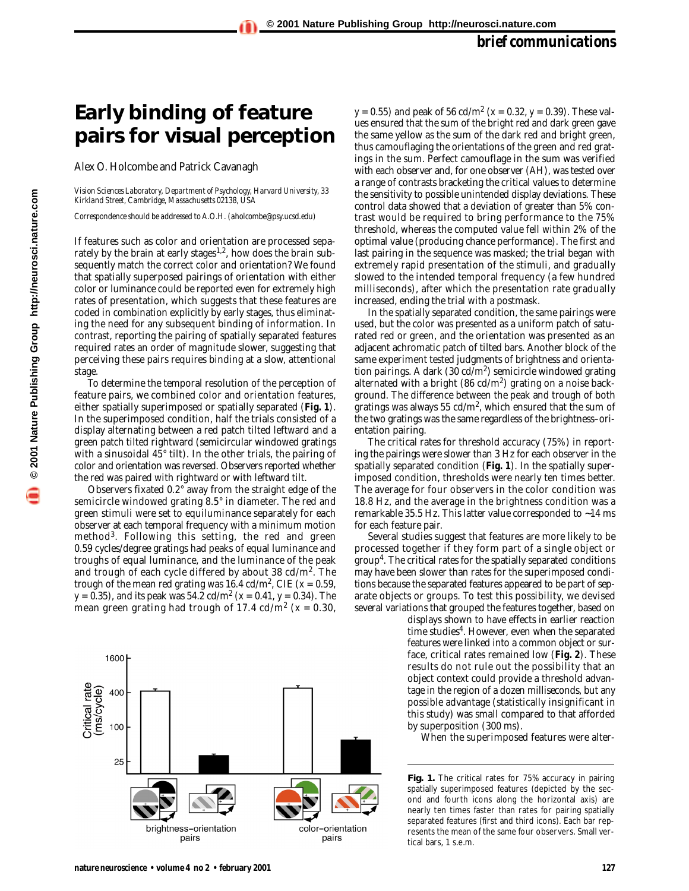## **Early binding of feature pairs for visual perception**

Alex O. Holcombe and Patrick Cavanagh

*Vision Sciences Laboratory, Department of Psychology, Harvard University, 33 Kirkland Street, Cambridge, Massachusetts 02138, USA* 

*Correspondence should be addressed to A.O.H. (aholcombe@psy.ucsd.edu)*

If features such as color and orientation are processed separately by the brain at early stages $1.2$ , how does the brain subsequently match the correct color and orientation? We found that spatially superposed pairings of orientation with either color or luminance could be reported even for extremely high rates of presentation, which suggests that these features are coded in combination explicitly by early stages, thus eliminating the need for any subsequent binding of information. In contrast, reporting the pairing of spatially separated features required rates an order of magnitude slower, suggesting that perceiving these pairs requires binding at a slow, attentional stage.

To determine the temporal resolution of the perception of feature pairs, we combined color and orientation features, either spatially superimposed or spatially separated (**Fig. 1**). In the superimposed condition, half the trials consisted of a display alternating between a red patch tilted leftward and a green patch tilted rightward (semicircular windowed gratings with a sinusoidal 45° tilt). In the other trials, the pairing of color and orientation was reversed. Observers reported whether the red was paired with rightward or with leftward tilt.

Observers fixated 0.2° away from the straight edge of the semicircle windowed grating 8.5° in diameter. The red and green stimuli were set to equiluminance separately for each observer at each temporal frequency with a minimum motion method3. Following this setting, the red and green 0.59 cycles/degree gratings had peaks of equal luminance and troughs of equal luminance, and the luminance of the peak and trough of each cycle differed by about 38  $\text{cd/m}^2$ . The trough of the mean red grating was  $16.4$  cd/m<sup>2</sup>, CIE ( $x = 0.59$ , *y* = 0.35), and its peak was 54.2 cd/m<sup>2</sup> (*x* = 0.41, *y* = 0.34). The mean green grating had trough of  $17.4$  cd/m<sup>2</sup> ( $x = 0.30$ ,



pairs

pairs

*y* = 0.55) and peak of 56 cd/m<sup>2</sup> (*x* = 0.32, *y* = 0.39). These values ensured that the sum of the bright red and dark green gave the same yellow as the sum of the dark red and bright green, thus camouflaging the orientations of the green and red gratings in the sum. Perfect camouflage in the sum was verified with each observer and, for one observer (AH), was tested over a range of contrasts bracketing the critical values to determine the sensitivity to possible unintended display deviations. These control data showed that a deviation of greater than 5% contrast would be required to bring performance to the 75% threshold, whereas the computed value fell within 2% of the optimal value (producing chance performance). The first and last pairing in the sequence was masked; the trial began with extremely rapid presentation of the stimuli, and gradually slowed to the intended temporal frequency (a few hundred milliseconds), after which the presentation rate gradually increased, ending the trial with a postmask.

In the spatially separated condition, the same pairings were used, but the color was presented as a uniform patch of saturated red or green, and the orientation was presented as an adjacent achromatic patch of tilted bars. Another block of the same experiment tested judgments of brightness and orientation pairings. A dark  $(30 \text{ cd/m}^2)$  semicircle windowed grating alternated with a bright  $(86 \text{ cd/m}^2)$  grating on a noise background. The difference between the peak and trough of both gratings was always 55 cd/m2, which ensured that the sum of the two gratings was the same regardless of the brightness–orientation pairing.

The critical rates for threshold accuracy (75%) in reporting the pairings were slower than 3 Hz for each observer in the spatially separated condition (**Fig. 1**). In the spatially superimposed condition, thresholds were nearly ten times better. The average for four observers in the color condition was 18.8 Hz, and the average in the brightness condition was a remarkable 35.5 Hz. This latter value corresponded to ∼14 ms for each feature pair.

Several studies suggest that features are more likely to be processed together if they form part of a single object or  $group<sup>4</sup>$ . The critical rates for the spatially separated conditions may have been slower than rates for the superimposed conditions because the separated features appeared to be part of separate objects or groups. To test this possibility, we devised several variations that grouped the features together, based on

> displays shown to have effects in earlier reaction time studies<sup>4</sup>. However, even when the separated features were linked into a common object or surface, critical rates remained low (**Fig. 2**). These results do not rule out the possibility that an object context could provide a threshold advantage in the region of a dozen milliseconds, but any possible advantage (statistically insignificant in this study) was small compared to that afforded by superposition (300 ms).

When the superimposed features were alter-

**Fig. 1.** The critical rates for 75% accuracy in pairing spatially superimposed features (depicted by the second and fourth icons along the horizontal axis) are nearly ten times faster than rates for pairing spatially separated features (first and third icons). Each bar represents the mean of the same four observers. Small vertical bars, 1 s.e.m.